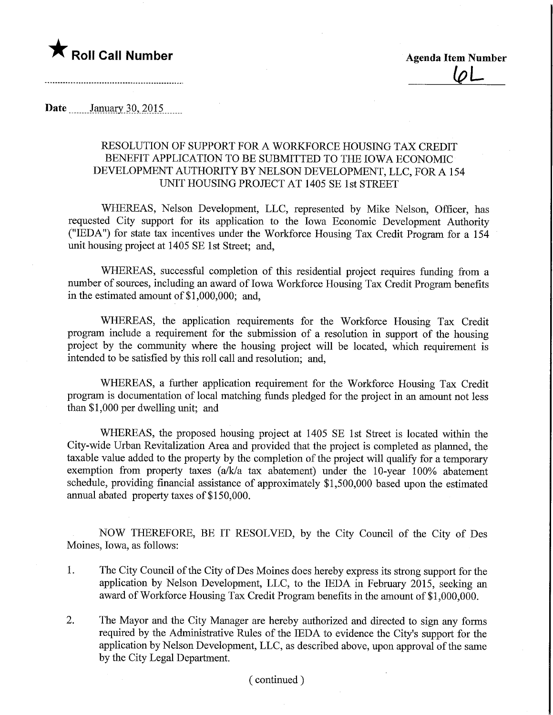# **T** Roll Call Number **Agents** Agenda Item Number

 $\overline{\varphi}$ 

## **Date** ........January 30, 2015

### RESOLUTION OF SUPPORT FOR A WORKFORCE HOUSING TAX CREDIT BENEFIT APPLICATION TO BE SUBMITTED TO THE IOWA ECONOMIC DEVELOPMENT AUTHORITY BY NELSON DEVELOPMENT, LLC, FOR A 154 UNIT HOUSING PROJECT AT 1405 SE 1st STREET

WHEREAS, Nelson Development, LLC, represented by Mike Nelson, Officer, has requested City support for its application to the Iowa Economic Development Authority ("IEDA") for state tax incentives under the Workforce Housing Tax Credit Program for a 154 unit housing project at 1405 SE 1st Street; and,

WHEREAS, successful completion of this residential project requires funding from a number of sources, including an award of Iowa Workforce Housing Tax Credit Program benefits in the estimated amount of  $$1,000,000$ ; and,

WHEREAS, the application requirements for the Workforce Housing Tax Credit program include a requirement for the submission of a resolution in support of the housing project by the community where the housing project will be located, which requirement is intended to be satisfied by this roll call and resolution; and,

WHEREAS, a further application requirement for the Workforce Housing Tax Credit program is documentation of local matching funds pledged for the project in an amount not less than \$1,000 per dwelling unit; and

WHEREAS, the proposed housing project at 1405 SE 1st Street is located within the City-wide Urban Revitalization Area and provided that the project is completed as planned, the taxable value added to the property by the completion of the project will qualify for a temporary exemption from property taxes (a/k/a tax abatement) under the 10-year 100% abatement schedule, providing financial assistance of approximately \$1,500,000 based upon the estimated annual abated property taxes of \$150,000.

NOW THEREFORE, BE IT RESOLVED, by the City Council of the City of Des Moines, Iowa, as follows:

- 1. The City Council of the City of Des Moines does hereby express its strong support for the application by Nelson Development, LLC, to the IEDA in February 2015, seeking an award of Workforce Housing Tax Credit Program benefits in the amount of \$1,000,000.
- 2. The Mayor and the City Manager are hereby authorized and directed to sign any forms required by the Administrative Rules of the IEDA to evidence the City's support for the application by Nelson Development, LLC, as described above, upon approval of the same by the City Legal Department.

#### (continued)